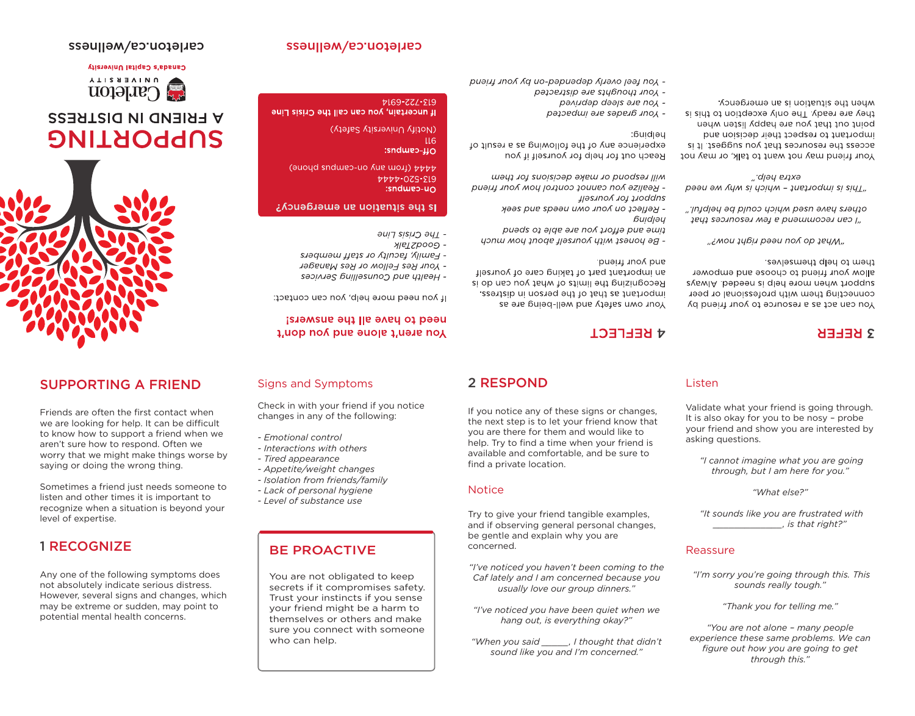### **7169-772-219** If uncertain, you can call the Crisis Line

Here (40004) Guoud sndweb-up Aue would

**Is the situation an emergency?** 

- Family, faculty or staff members

- Your Res Fellow or Res Manager

- Health and Counselling Services

If you need more help, you can contact:

need to have all the answers!

Tou aren't alone and you don't

(Notify University Safety)

 $\overline{116}$ 

 $:$ sndweb- $\mu$ 

PVVV-07S-219

 $:$ sndweb-u $\cap$ 

- *ING CNSIZ FING* 

- Good2Talk

experience any of the following as a result of

- Realize you cannot control how your friend

2 RESPOND

find a private location.

**Notice** 

concerned.

the next step is to let your friend know that you are there for them and would like to help. Try to find a time when your friend is available and comfortable, and be sure to

Try to give your friend tangible examples, and if observing general personal changes.

*"I've noticed you haven't been coming to the Caf lately and I am concerned because you usually love our group dinners." "I've noticed you have been quiet when we hang out, is everything okay?" "When you said \_\_\_\_\_, I thought that didn't sound like you and I'm concerned."*

be gentle and explain why you are

## - Your thoughts are distracted

## - you feel overly depended-on by your friend

### рәлидәр дәәј әле под-- рәзәедші әле сәрелб лпод

anbbort tor yourself

and your triend.

**A KFFLECT** 

:buidjey

*<u>Guidiau</u>* 

Reach out for help for yourself if you

will respond or make decisions for them

- қөңесс ор уоиг омп пееда элд геек

puads of alde are uov frotta bas anif

- Be honest with yourself about how much

an important part of taking care of yourself

Recognizing the limits of what you can do is

resentant as that of the person in distress.

Your own safety and well-being are as

# If you notice any of these signs or changes, **Listen**

 *"I cannot imagine what you are going through, but I am here for you." "What else?"*

 *"It sounds like you are frustrated with \_\_\_\_\_\_\_\_\_\_\_\_\_, is that right?"*

 *"I'm sorry you're going through this. This sounds really tough." "Thank you for telling me." "You are not alone – many people experience these same problems. We can figure out how you are going to get through this."* 

### Validate what your friend is going through. It is also okay for you to be nosy – probe your friend and show you are interested by asking questions.

Reassure

**S REFER** 

### them to help themselves. allow your friend to choose and empower svewlA bebeen zi qled enom neddu Always connecting them with professional or peer You can act as a resource to your friend by

## "гмои зиби рәәи пол ор зеум"

cthers have used which could be helpful." пед геолиогел мет в риэшшогел иго ("

## cxtra help." "This is important - which is we we need

when the situation is an emergency. they are ready. The only exception to this is point out that you are happy listen when important to respect their decision and access the resources that you suggest. It is Your friend may not want to talk, or may not

carleton.ca/wellness

## carleton.ca/wellness

## Canada's Capital University

**UNIVERSITY Explerent** 

# **A FRIEND IN DISTRESS SUPPORTING**



## SUPPORTING A FRIEND

Friends are often the first contact when we are looking for help. It can be difficult to know how to support a friend when we aren't sure how to respond. Often we worry that we might make things worse by saying or doing the wrong thing.

Sometimes a friend just needs someone to listen and other times it is important to recognize when a situation is beyond your level of expertise.

## 1 RECOGNIZE

Any one of the following symptoms does not absolutely indicate serious distress. However, several signs and changes, which may be extreme or sudden, may point to potential mental health concerns.

BE PROACTIVE

You are not obligated to keep secrets if it compromises safety. Trust your instincts if you sense your friend might be a harm to themselves or others and make sure you connect with someone

*- Interactions with others - Tired appearance*

*- Emotional control*

- 
- 
- 
- *Appetite/weight changes*
- 
- 
- 
- 
- 

*- Isolation from friends/family*

- 
- *Lack of personal hygiene*
- 
- 

*- Level of substance use*

who can help.

- 
- 

Signs and Symptoms

Check in with your friend if you notice changes in any of the following: